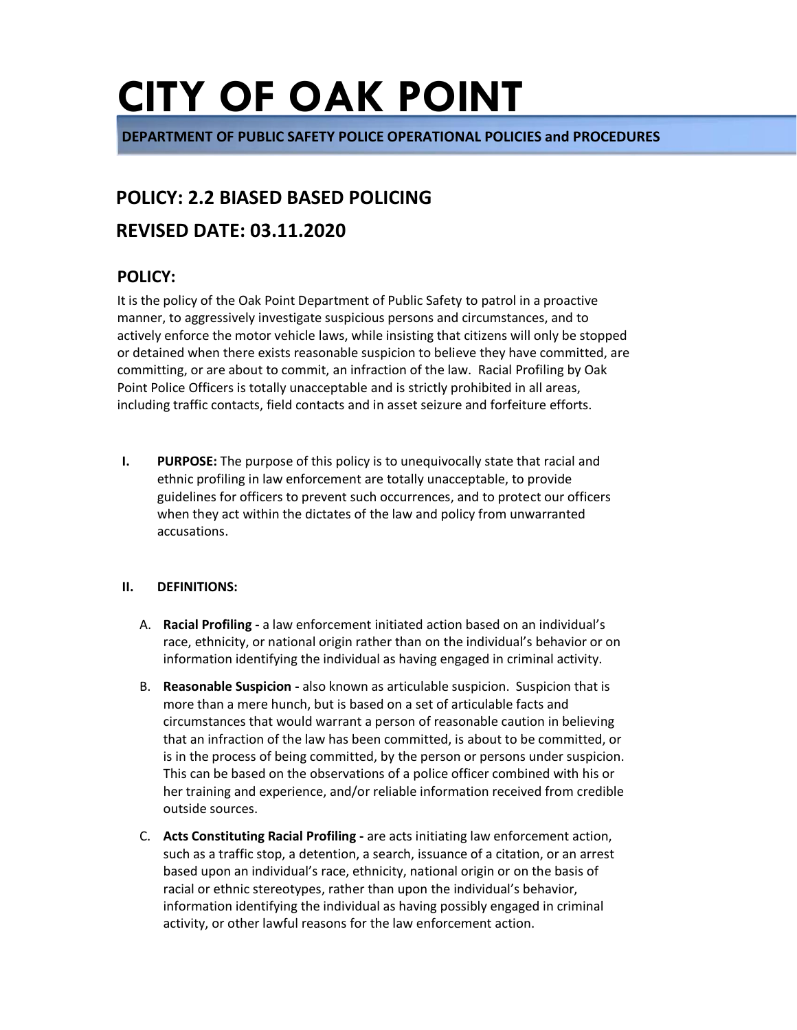**DEPARTMENT OF PUBLIC SAFETY POLICE OPERATIONAL POLICIES and PROCEDURES** 

### **POLICY: 2.2 BIASED BASED POLICING**

### **REVISED DATE: 03.11.2020**

### **POLICY:**

It is the policy of the Oak Point Department of Public Safety to patrol in a proactive manner, to aggressively investigate suspicious persons and circumstances, and to actively enforce the motor vehicle laws, while insisting that citizens will only be stopped or detained when there exists reasonable suspicion to believe they have committed, are committing, or are about to commit, an infraction of the law. Racial Profiling by Oak Point Police Officers is totally unacceptable and is strictly prohibited in all areas, including traffic contacts, field contacts and in asset seizure and forfeiture efforts.

**I. PURPOSE:** The purpose of this policy is to unequivocally state that racial and ethnic profiling in law enforcement are totally unacceptable, to provide guidelines for officers to prevent such occurrences, and to protect our officers when they act within the dictates of the law and policy from unwarranted accusations.

### **II. DEFINITIONS:**

- A. **Racial Profiling -** a law enforcement initiated action based on an individual's race, ethnicity, or national origin rather than on the individual's behavior or on information identifying the individual as having engaged in criminal activity.
- B. **Reasonable Suspicion -** also known as articulable suspicion. Suspicion that is more than a mere hunch, but is based on a set of articulable facts and circumstances that would warrant a person of reasonable caution in believing that an infraction of the law has been committed, is about to be committed, or is in the process of being committed, by the person or persons under suspicion. This can be based on the observations of a police officer combined with his or her training and experience, and/or reliable information received from credible outside sources.
- C. **Acts Constituting Racial Profiling -** are acts initiating law enforcement action, such as a traffic stop, a detention, a search, issuance of a citation, or an arrest based upon an individual's race, ethnicity, national origin or on the basis of racial or ethnic stereotypes, rather than upon the individual's behavior, information identifying the individual as having possibly engaged in criminal activity, or other lawful reasons for the law enforcement action.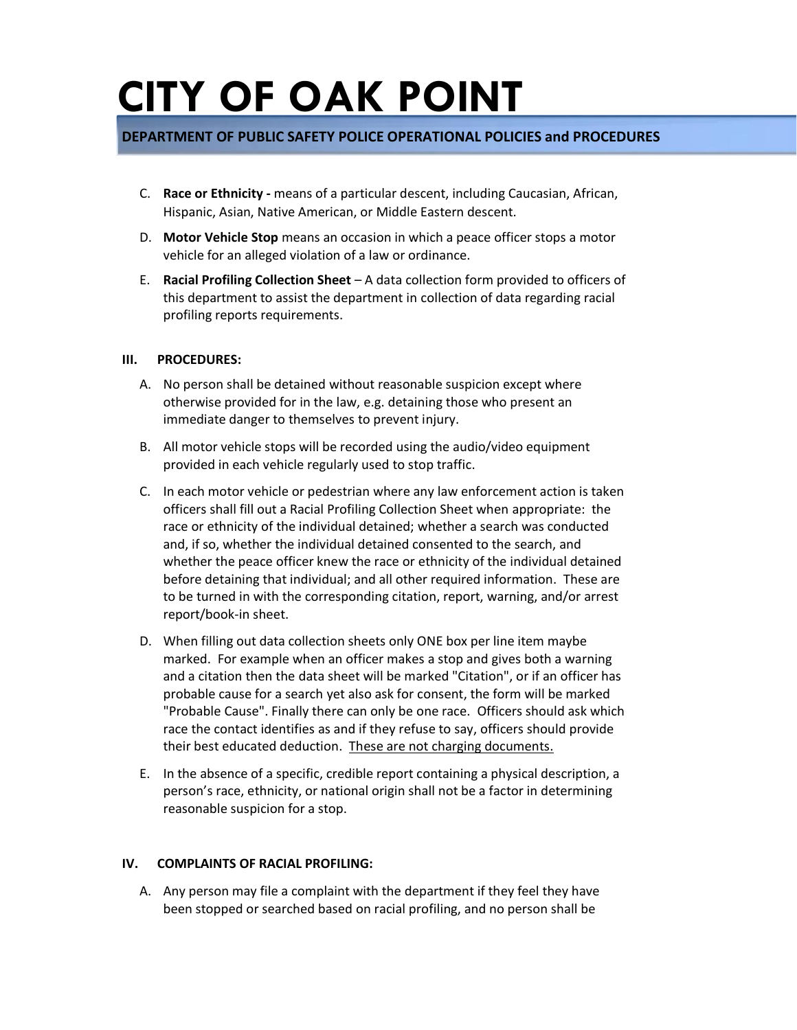### **DEPARTMENT OF PUBLIC SAFETY POLICE OPERATIONAL POLICIES and PROCEDURES**

- C. **Race or Ethnicity -** means of a particular descent, including Caucasian, African, Hispanic, Asian, Native American, or Middle Eastern descent.
- D. **Motor Vehicle Stop** means an occasion in which a peace officer stops a motor vehicle for an alleged violation of a law or ordinance.
- E. **Racial Profiling Collection Sheet**  A data collection form provided to officers of this department to assist the department in collection of data regarding racial profiling reports requirements.

#### **III. PROCEDURES:**

- A. No person shall be detained without reasonable suspicion except where otherwise provided for in the law, e.g. detaining those who present an immediate danger to themselves to prevent injury.
- B. All motor vehicle stops will be recorded using the audio/video equipment provided in each vehicle regularly used to stop traffic.
- C. In each motor vehicle or pedestrian where any law enforcement action is taken officers shall fill out a Racial Profiling Collection Sheet when appropriate: the race or ethnicity of the individual detained; whether a search was conducted and, if so, whether the individual detained consented to the search, and whether the peace officer knew the race or ethnicity of the individual detained before detaining that individual; and all other required information. These are to be turned in with the corresponding citation, report, warning, and/or arrest report/book-in sheet.
- D. When filling out data collection sheets only ONE box per line item maybe marked. For example when an officer makes a stop and gives both a warning and a citation then the data sheet will be marked "Citation", or if an officer has probable cause for a search yet also ask for consent, the form will be marked "Probable Cause". Finally there can only be one race. Officers should ask which race the contact identifies as and if they refuse to say, officers should provide their best educated deduction. These are not charging documents.
- E. In the absence of a specific, credible report containing a physical description, a person's race, ethnicity, or national origin shall not be a factor in determining reasonable suspicion for a stop.

### **IV. COMPLAINTS OF RACIAL PROFILING:**

A. Any person may file a complaint with the department if they feel they have been stopped or searched based on racial profiling, and no person shall be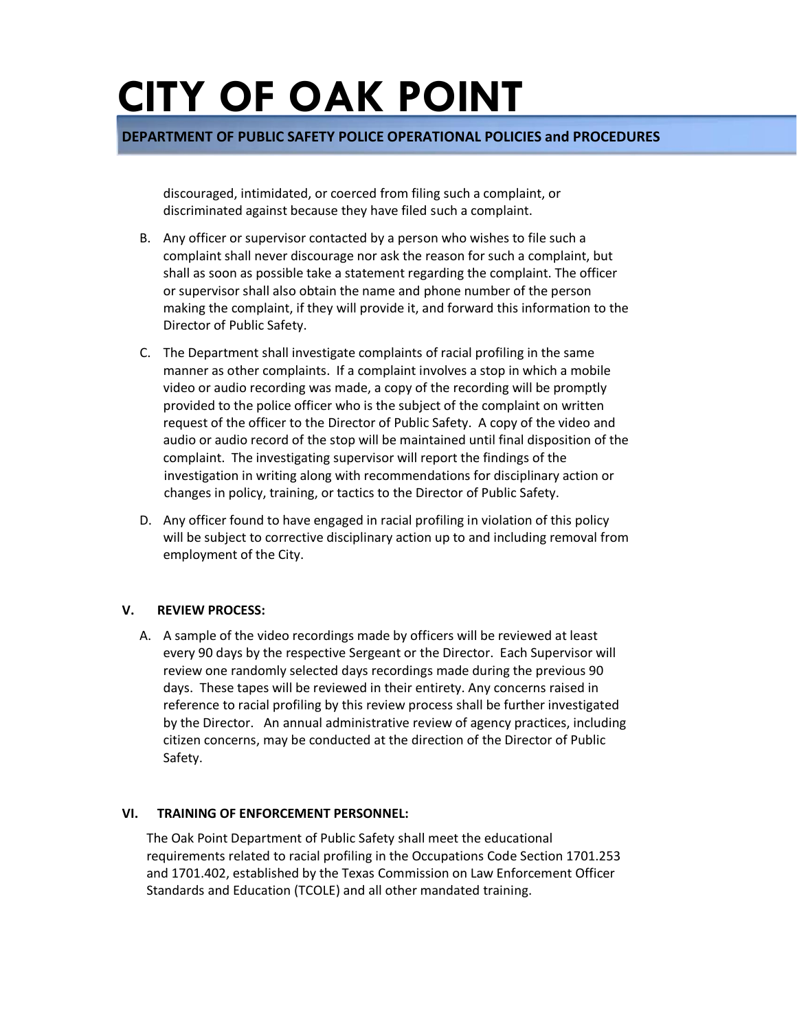**DEPARTMENT OF PUBLIC SAFETY POLICE OPERATIONAL POLICIES and PROCEDURES** 

discouraged, intimidated, or coerced from filing such a complaint, or discriminated against because they have filed such a complaint.

- B. Any officer or supervisor contacted by a person who wishes to file such a complaint shall never discourage nor ask the reason for such a complaint, but shall as soon as possible take a statement regarding the complaint. The officer or supervisor shall also obtain the name and phone number of the person making the complaint, if they will provide it, and forward this information to the Director of Public Safety.
- C. The Department shall investigate complaints of racial profiling in the same manner as other complaints. If a complaint involves a stop in which a mobile video or audio recording was made, a copy of the recording will be promptly provided to the police officer who is the subject of the complaint on written request of the officer to the Director of Public Safety. A copy of the video and audio or audio record of the stop will be maintained until final disposition of the complaint. The investigating supervisor will report the findings of the investigation in writing along with recommendations for disciplinary action or changes in policy, training, or tactics to the Director of Public Safety.
- D. Any officer found to have engaged in racial profiling in violation of this policy will be subject to corrective disciplinary action up to and including removal from employment of the City.

#### **V. REVIEW PROCESS:**

A. A sample of the video recordings made by officers will be reviewed at least every 90 days by the respective Sergeant or the Director. Each Supervisor will review one randomly selected days recordings made during the previous 90 days. These tapes will be reviewed in their entirety. Any concerns raised in reference to racial profiling by this review process shall be further investigated by the Director. An annual administrative review of agency practices, including citizen concerns, may be conducted at the direction of the Director of Public Safety.

#### **VI. TRAINING OF ENFORCEMENT PERSONNEL:**

The Oak Point Department of Public Safety shall meet the educational requirements related to racial profiling in the Occupations Code Section 1701.253 and 1701.402, established by the Texas Commission on Law Enforcement Officer Standards and Education (TCOLE) and all other mandated training.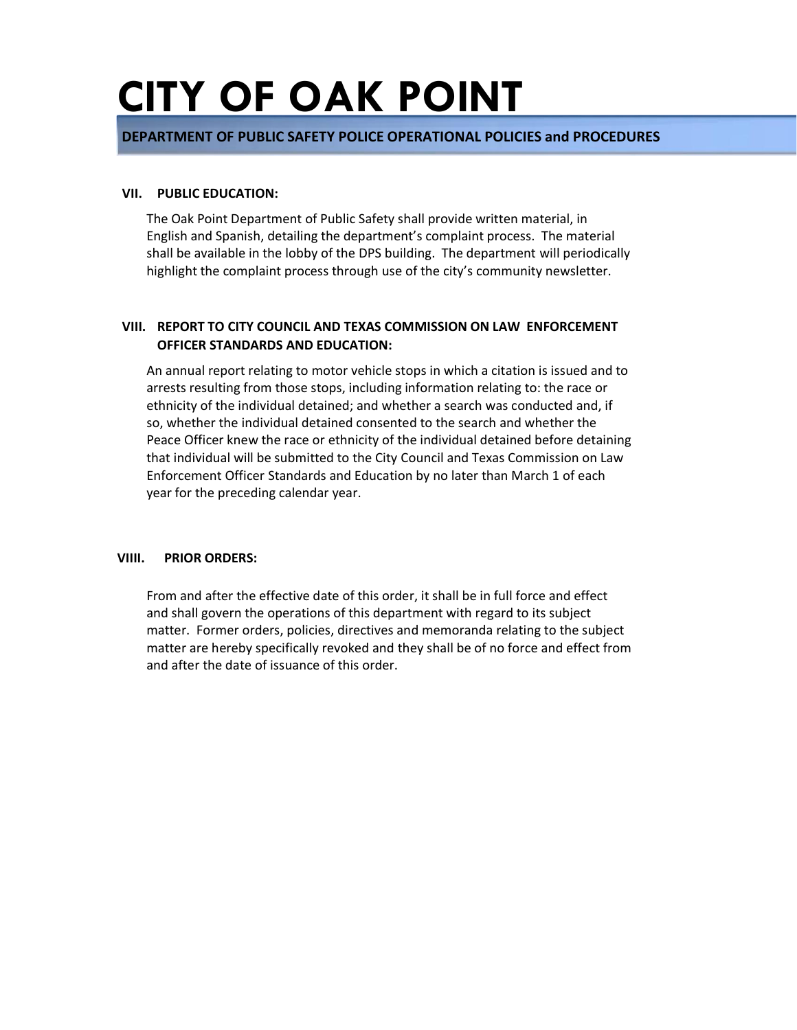### **DEPARTMENT OF PUBLIC SAFETY POLICE OPERATIONAL POLICIES and PROCEDURES**

#### **VII. PUBLIC EDUCATION:**

The Oak Point Department of Public Safety shall provide written material, in English and Spanish, detailing the department's complaint process. The material shall be available in the lobby of the DPS building. The department will periodically highlight the complaint process through use of the city's community newsletter.

### **VIII. REPORT TO CITY COUNCIL AND TEXAS COMMISSION ON LAW ENFORCEMENT OFFICER STANDARDS AND EDUCATION:**

An annual report relating to motor vehicle stops in which a citation is issued and to arrests resulting from those stops, including information relating to: the race or ethnicity of the individual detained; and whether a search was conducted and, if so, whether the individual detained consented to the search and whether the Peace Officer knew the race or ethnicity of the individual detained before detaining that individual will be submitted to the City Council and Texas Commission on Law Enforcement Officer Standards and Education by no later than March 1 of each year for the preceding calendar year.

### **VIIII. PRIOR ORDERS:**

From and after the effective date of this order, it shall be in full force and effect and shall govern the operations of this department with regard to its subject matter. Former orders, policies, directives and memoranda relating to the subject matter are hereby specifically revoked and they shall be of no force and effect from and after the date of issuance of this order.